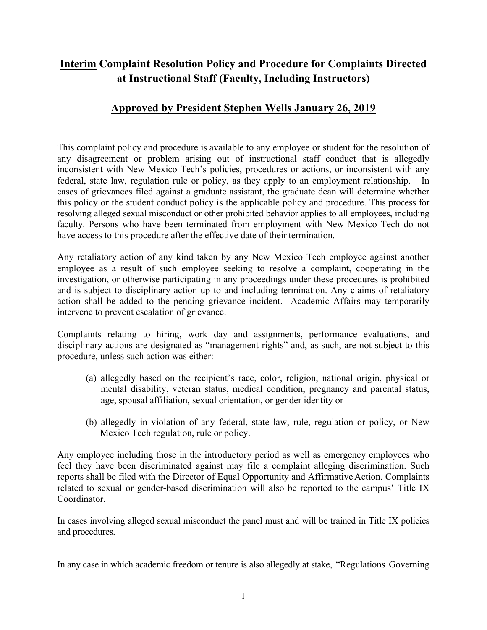## **Interim Complaint Resolution Policy and Procedure for Complaints Directed at Instructional Staff (Faculty, Including Instructors)**

## **Approved by President Stephen Wells January 26, 2019**

This complaint policy and procedure is available to any employee or student for the resolution of any disagreement or problem arising out of instructional staff conduct that is allegedly inconsistent with New Mexico Tech's policies, procedures or actions, or inconsistent with any federal, state law, regulation rule or policy, as they apply to an employment relationship. In cases of grievances filed against a graduate assistant, the graduate dean will determine whether this policy or the student conduct policy is the applicable policy and procedure. This process for resolving alleged sexual misconduct or other prohibited behavior applies to all employees, including faculty. Persons who have been terminated from employment with New Mexico Tech do not have access to this procedure after the effective date of their termination.

Any retaliatory action of any kind taken by any New Mexico Tech employee against another employee as a result of such employee seeking to resolve a complaint, cooperating in the investigation, or otherwise participating in any proceedings under these procedures is prohibited and is subject to disciplinary action up to and including termination. Any claims of retaliatory action shall be added to the pending grievance incident. Academic Affairs may temporarily intervene to prevent escalation of grievance.

Complaints relating to hiring, work day and assignments, performance evaluations, and disciplinary actions are designated as "management rights" and, as such, are not subject to this procedure, unless such action was either:

- (a) allegedly based on the recipient's race, color, religion, national origin, physical or mental disability, veteran status, medical condition, pregnancy and parental status, age, spousal affiliation, sexual orientation, or gender identity or
- (b) allegedly in violation of any federal, state law, rule, regulation or policy, or New Mexico Tech regulation, rule or policy.

Any employee including those in the introductory period as well as emergency employees who feel they have been discriminated against may file a complaint alleging discrimination. Such reports shall be filed with the Director of Equal Opportunity and Affirmative Action. Complaints related to sexual or gender-based discrimination will also be reported to the campus' Title IX Coordinator.

In cases involving alleged sexual misconduct the panel must and will be trained in Title IX policies and procedures.

In any case in which academic freedom or tenure is also allegedly at stake, "Regulations Governing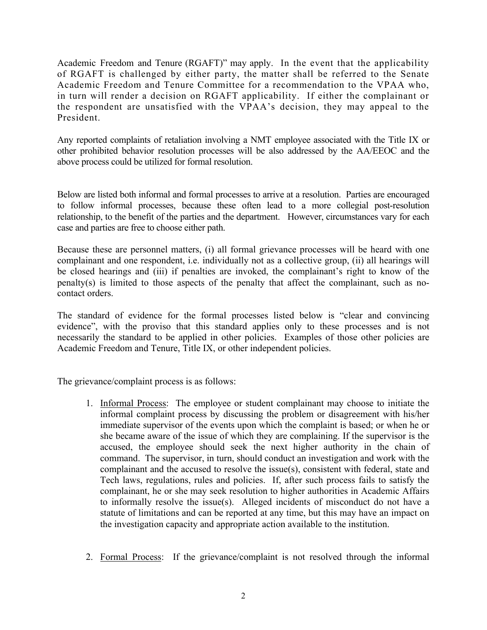Academic Freedom and Tenure (RGAFT)" may apply. In the event that the applicability of RGAFT is challenged by either party, the matter shall be referred to the Senate Academic Freedom and Tenure Committee for a recommendation to the VPAA who, in turn will render a decision on RGAFT applicability. If either the complainant or the respondent are unsatisfied with the VPAA's decision, they may appeal to the President.

Any reported complaints of retaliation involving a NMT employee associated with the Title IX or other prohibited behavior resolution processes will be also addressed by the AA/EEOC and the above process could be utilized for formal resolution.

Below are listed both informal and formal processes to arrive at a resolution. Parties are encouraged to follow informal processes, because these often lead to a more collegial post-resolution relationship, to the benefit of the parties and the department. However, circumstances vary for each case and parties are free to choose either path.

Because these are personnel matters, (i) all formal grievance processes will be heard with one complainant and one respondent, i.e. individually not as a collective group, (ii) all hearings will be closed hearings and (iii) if penalties are invoked, the complainant's right to know of the penalty(s) is limited to those aspects of the penalty that affect the complainant, such as nocontact orders.

The standard of evidence for the formal processes listed below is "clear and convincing evidence", with the proviso that this standard applies only to these processes and is not necessarily the standard to be applied in other policies. Examples of those other policies are Academic Freedom and Tenure, Title IX, or other independent policies.

The grievance/complaint process is as follows:

- 1. Informal Process: The employee or student complainant may choose to initiate the informal complaint process by discussing the problem or disagreement with his/her immediate supervisor of the events upon which the complaint is based; or when he or she became aware of the issue of which they are complaining. If the supervisor is the accused, the employee should seek the next higher authority in the chain of command. The supervisor, in turn, should conduct an investigation and work with the complainant and the accused to resolve the issue(s), consistent with federal, state and Tech laws, regulations, rules and policies. If, after such process fails to satisfy the complainant, he or she may seek resolution to higher authorities in Academic Affairs to informally resolve the issue(s). Alleged incidents of misconduct do not have a statute of limitations and can be reported at any time, but this may have an impact on the investigation capacity and appropriate action available to the institution.
- 2. Formal Process: If the grievance/complaint is not resolved through the informal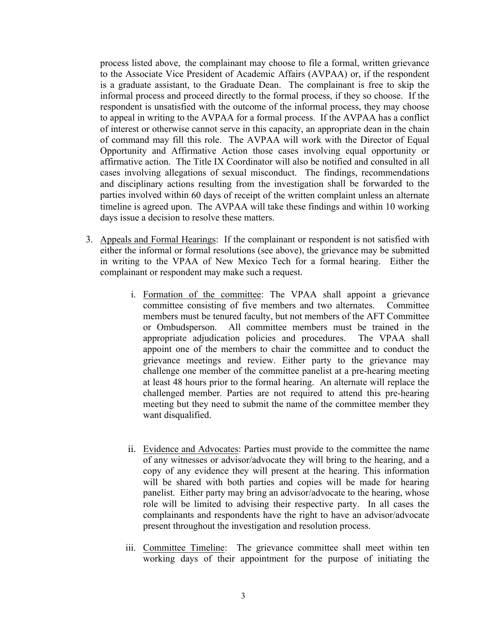process listed above, the complainant may choose to file a formal, written grievance to the Associate Vice President of Academic Affairs (AVPAA) or, if the respondent is a graduate assistant, to the Graduate Dean. The complainant is free to skip the informal process and proceed directly to the formal process, if they so choose. If the respondent is unsatisfied with the outcome of the informal process, they may choose to appeal in writing to the AVPAA for a formal process. If the AVPAA has a conflict of interest or otherwise cannot serve in this capacity, an appropriate dean in the chain of command may fill this role. The AVPAA will work with the Director of Equal Opportunity and Affirmative Action those cases involving equal opportunity or affirmative action. The Title IX Coordinator will also be notified and consulted in all cases involving allegations of sexual misconduct. The findings, recommendations and disciplinary actions resulting from the investigation shall be forwarded to the parties involved within 60 days of receipt of the written complaint unless an alternate timeline is agreed upon. The AVPAA will take these findings and within 10 working days issue a decision to resolve these matters.

- 3. Appeals and Formal Hearings: If the complainant or respondent is not satisfied with either the informal or formal resolutions (see above), the grievance may be submitted in writing to the VPAA of New Mexico Tech for a formal hearing. Either the complainant or respondent may make such a request.
	- i. Formation of the committee: The VPAA shall appoint a grievance committee consisting of five members and two alternates. Committee members must be tenured faculty, but not members of the AFT Committee or Ombudsperson. All committee members must be trained in the appropriate adjudication policies and procedures. The VPAA shall appoint one of the members to chair the committee and to conduct the grievance meetings and review. Either party to the grievance may challenge one member of the committee panelist at a pre-hearing meeting at least 48 hours prior to the formal hearing. An alternate will replace the challenged member. Parties are not required to attend this pre-hearing meeting but they need to submit the name of the committee member they want disqualified.
	- ii. Evidence and Advocates: Parties must provide to the committee the name of any witnesses or advisor/advocate they will bring to the hearing, and a copy of any evidence they will present at the hearing. This information will be shared with both parties and copies will be made for hearing panelist. Either party may bring an advisor/advocate to the hearing, whose role will be limited to advising their respective party. In all cases the complainants and respondents have the right to have an advisor/advocate present throughout the investigation and resolution process.
	- iii. Committee Timeline: The grievance committee shall meet within ten working days of their appointment for the purpose of initiating the